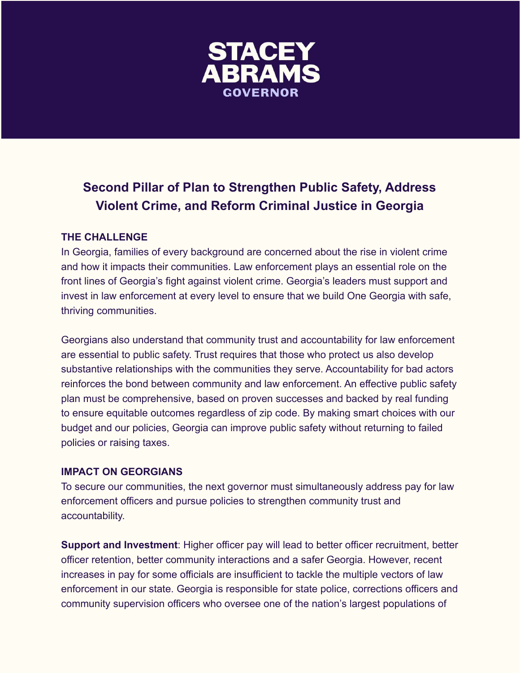

# **Second Pillar of Plan to Strengthen Public Safety, Address Violent Crime, and Reform Criminal Justice in Georgia**

## **THE CHALLENGE**

In Georgia, families of every background are concerned about the rise in violent crime and how it impacts their communities. Law enforcement plays an essential role on the front lines of Georgia's fight against violent crime. Georgia's leaders must support and invest in law enforcement at every level to ensure that we build One Georgia with safe, thriving communities.

Georgians also understand that community trust and accountability for law enforcement are essential to public safety. Trust requires that those who protect us also develop substantive relationships with the communities they serve. Accountability for bad actors reinforces the bond between community and law enforcement. An effective public safety plan must be comprehensive, based on proven successes and backed by real funding to ensure equitable outcomes regardless of zip code. By making smart choices with our budget and our policies, Georgia can improve public safety without returning to failed policies or raising taxes.

#### **IMPACT ON GEORGIANS**

To secure our communities, the next governor must simultaneously address pay for law enforcement officers and pursue policies to strengthen community trust and accountability.

**Support and Investment**: Higher officer pay will lead to better officer recruitment, better officer retention, better community interactions and a safer Georgia. However, recent increases in pay for some officials are insufficient to tackle the multiple vectors of law enforcement in our state. Georgia is responsible for state police, corrections officers and community supervision officers who oversee one of the nation's largest populations of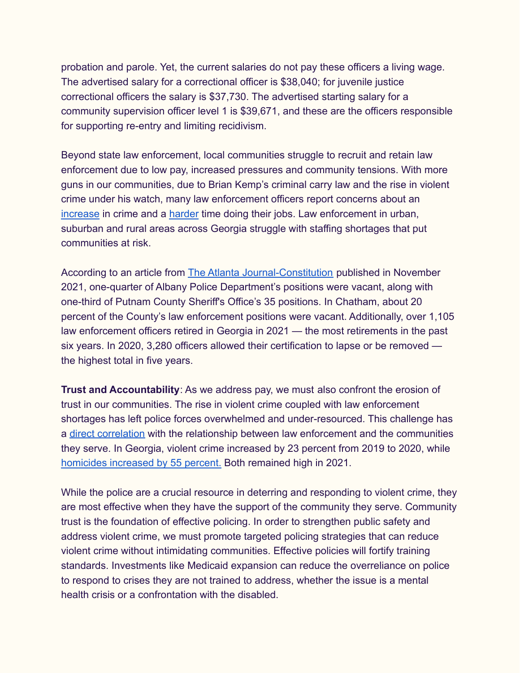probation and parole. Yet, the current salaries do not pay these officers a living wage. The advertised salary for a correctional officer is \$38,040; for juvenile justice correctional officers the salary is \$37,730. The advertised starting salary for a community supervision officer level 1 is \$39,671, and these are the officers responsible for supporting re-entry and limiting recidivism.

Beyond state law enforcement, local communities struggle to recruit and retain law enforcement due to low pay, increased pressures and community tensions. With more guns in our communities, due to Brian Kemp's criminal carry law and the rise in violent crime under his watch, many law enforcement officers report concerns about an [increase](https://www.41nbc.com/proposed-constitutional-carry-law-what-it-means-for-middle-georgia/) in crime and a [harder](https://www.washingtonpost.com/nation/2022/03/24/columbus-gun-ownership-violence/) time doing their jobs. Law enforcement in urban, suburban and rural areas across Georgia struggle with staffing shortages that put communities at risk.

According to an article from [The Atlanta Journal-Constitution](https://www.ajc.com/news/crime/georgia-police-agencies-struggle-to-fill-their-ranks/A4J5SGNOT5DNLNCPPANRXTKQHY/) published in November 2021, one-quarter of Albany Police Department's positions were vacant, along with one-third of Putnam County Sheriff's Office's 35 positions. In Chatham, about 20 percent of the County's law enforcement positions were vacant. Additionally, over 1,105 law enforcement officers retired in Georgia in 2021 — the most retirements in the past six years. In 2020, 3,280 officers allowed their certification to lapse or be removed the highest total in five years.

**Trust and Accountability**: As we address pay, we must also confront the erosion of trust in our communities. The rise in violent crime coupled with law enforcement shortages has left police forces overwhelmed and under-resourced. This challenge has a [direct correlation](https://www.ojp.gov/ncjrs/virtual-library/abstracts/final-report-presidents-task-force-21st-century-policing) with the relationship between law enforcement and the communities they serve. In Georgia, violent crime increased by 23 percent from 2019 to 2020, while [homicides increased by 55 percent.](https://www.11alive.com/article/news/crime/fbi-crime-data-shows-drastic-spike-in-homicides-on-national-level-across-georgia-and-in-atlanta/85-860d4de5-bdb0-452c-84bd-20b9c4da9074) Both remained high in 2021.

While the police are a crucial resource in deterring and responding to violent crime, they are most effective when they have the support of the community they serve. Community trust is the foundation of effective policing. In order to strengthen public safety and address violent crime, we must promote targeted policing strategies that can reduce violent crime without intimidating communities. Effective policies will fortify training standards. Investments like Medicaid expansion can reduce the overreliance on police to respond to crises they are not trained to address, whether the issue is a mental health crisis or a confrontation with the disabled.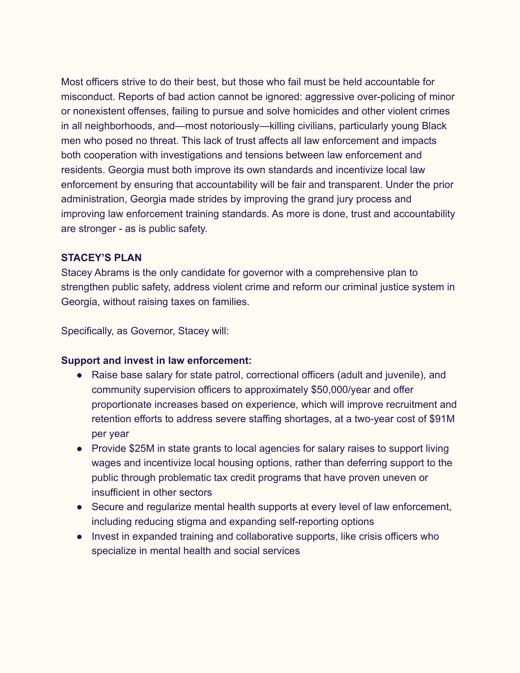Most officers strive to do their best, but those who fail must be held accountable for misconduct. Reports of bad action cannot be ignored: aggressive over-policing of minor or nonexistent offenses, failing to pursue and solve homicides and other violent crimes in all neighborhoods, and—most notoriously—killing civilians, particularly young Black men who posed no threat. This lack of trust affects all law enforcement and impacts both cooperation with investigations and tensions between law enforcement and residents. Georgia must both improve its own standards and incentivize local law enforcement by ensuring that accountability will be fair and transparent. Under the prior administration, Georgia made strides by improving the grand jury process and improving law enforcement training standards. As more is done, trust and accountability are stronger - as is public safety.

## **STACEY'S PLAN**

Stacey Abrams is the only candidate for governor with a comprehensive plan to strengthen public safety, address violent crime and reform our criminal justice system in Georgia, without raising taxes on families.

Specifically, as Governor, Stacey will:

#### **Support and invest in law enforcement:**

- Raise base salary for state patrol, correctional officers (adult and juvenile), and community supervision officers to approximately \$50,000/year and offer proportionate increases based on experience, which will improve recruitment and retention efforts to address severe staffing shortages, at a two-year cost of \$91M per year
- Provide \$25M in state grants to local agencies for salary raises to support living wages and incentivize local housing options, rather than deferring support to the public through problematic tax credit programs that have proven uneven or insufficient in other sectors
- Secure and regularize mental health supports at every level of law enforcement, including reducing stigma and expanding self-reporting options
- Invest in expanded training and collaborative supports, like crisis officers who specialize in mental health and social services